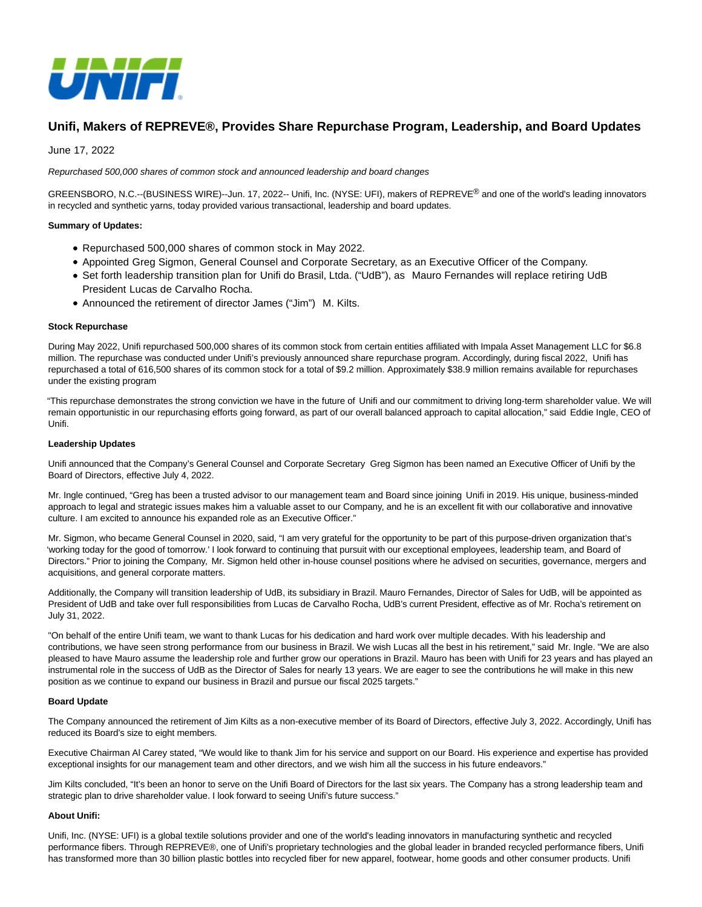

# **Unifi, Makers of REPREVE®, Provides Share Repurchase Program, Leadership, and Board Updates**

June 17, 2022

### Repurchased 500,000 shares of common stock and announced leadership and board changes

GREENSBORO, N.C.--(BUSINESS WIRE)--Jun. 17, 2022-- Unifi, Inc. (NYSE: UFI), makers of REPREVE® and one of the world's leading innovators in recycled and synthetic yarns, today provided various transactional, leadership and board updates.

## **Summary of Updates:**

- Repurchased 500,000 shares of common stock in May 2022.
- Appointed Greg Sigmon, General Counsel and Corporate Secretary, as an Executive Officer of the Company.
- Set forth leadership transition plan for Unifi do Brasil, Ltda. ("UdB"), as Mauro Fernandes will replace retiring UdB President Lucas de Carvalho Rocha.
- Announced the retirement of director James ("Jim") M. Kilts.

#### **Stock Repurchase**

During May 2022, Unifi repurchased 500,000 shares of its common stock from certain entities affiliated with Impala Asset Management LLC for \$6.8 million. The repurchase was conducted under Unifi's previously announced share repurchase program. Accordingly, during fiscal 2022, Unifi has repurchased a total of 616,500 shares of its common stock for a total of \$9.2 million. Approximately \$38.9 million remains available for repurchases under the existing program

"This repurchase demonstrates the strong conviction we have in the future of Unifi and our commitment to driving long-term shareholder value. We will remain opportunistic in our repurchasing efforts going forward, as part of our overall balanced approach to capital allocation," said Eddie Ingle, CEO of Unifi.

#### **Leadership Updates**

Unifi announced that the Company's General Counsel and Corporate Secretary Greg Sigmon has been named an Executive Officer of Unifi by the Board of Directors, effective July 4, 2022.

Mr. Ingle continued, "Greg has been a trusted advisor to our management team and Board since joining Unifi in 2019. His unique, business-minded approach to legal and strategic issues makes him a valuable asset to our Company, and he is an excellent fit with our collaborative and innovative culture. I am excited to announce his expanded role as an Executive Officer."

Mr. Sigmon, who became General Counsel in 2020, said, "I am very grateful for the opportunity to be part of this purpose-driven organization that's 'working today for the good of tomorrow.' I look forward to continuing that pursuit with our exceptional employees, leadership team, and Board of Directors." Prior to joining the Company, Mr. Sigmon held other in-house counsel positions where he advised on securities, governance, mergers and acquisitions, and general corporate matters.

Additionally, the Company will transition leadership of UdB, its subsidiary in Brazil. Mauro Fernandes, Director of Sales for UdB, will be appointed as President of UdB and take over full responsibilities from Lucas de Carvalho Rocha, UdB's current President, effective as of Mr. Rocha's retirement on July 31, 2022.

"On behalf of the entire Unifi team, we want to thank Lucas for his dedication and hard work over multiple decades. With his leadership and contributions, we have seen strong performance from our business in Brazil. We wish Lucas all the best in his retirement," said Mr. Ingle. "We are also pleased to have Mauro assume the leadership role and further grow our operations in Brazil. Mauro has been with Unifi for 23 years and has played an instrumental role in the success of UdB as the Director of Sales for nearly 13 years. We are eager to see the contributions he will make in this new position as we continue to expand our business in Brazil and pursue our fiscal 2025 targets."

#### **Board Update**

The Company announced the retirement of Jim Kilts as a non-executive member of its Board of Directors, effective July 3, 2022. Accordingly, Unifi has reduced its Board's size to eight members.

Executive Chairman Al Carey stated, "We would like to thank Jim for his service and support on our Board. His experience and expertise has provided exceptional insights for our management team and other directors, and we wish him all the success in his future endeavors."

Jim Kilts concluded, "It's been an honor to serve on the Unifi Board of Directors for the last six years. The Company has a strong leadership team and strategic plan to drive shareholder value. I look forward to seeing Unifi's future success."

## **About Unifi:**

Unifi, Inc. (NYSE: UFI) is a global textile solutions provider and one of the world's leading innovators in manufacturing synthetic and recycled performance fibers. Through REPREVE®, one of Unifi's proprietary technologies and the global leader in branded recycled performance fibers, Unifi has transformed more than 30 billion plastic bottles into recycled fiber for new apparel, footwear, home goods and other consumer products. Unifi